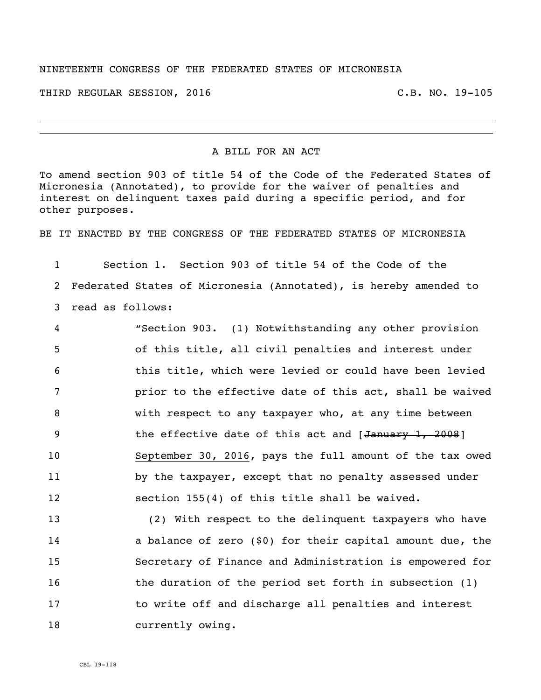## NINETEENTH CONGRESS OF THE FEDERATED STATES OF MICRONESIA

THIRD REGULAR SESSION, 2016 C.B. NO. 19-105

## A BILL FOR AN ACT

To amend section 903 of title 54 of the Code of the Federated States of Micronesia (Annotated), to provide for the waiver of penalties and interest on delinquent taxes paid during a specific period, and for other purposes.

BE IT ENACTED BY THE CONGRESS OF THE FEDERATED STATES OF MICRONESIA

1 Section 1. Section 903 of title 54 of the Code of the 2 Federated States of Micronesia (Annotated), is hereby amended to 3 read as follows:

 "Section 903. (1) Notwithstanding any other provision of this title, all civil penalties and interest under this title, which were levied or could have been levied prior to the effective date of this act, shall be waived with respect to any taxpayer who, at any time between 9 the effective date of this act and [January 1, 2008] September 30, 2016, pays the full amount of the tax owed 11 by the taxpayer, except that no penalty assessed under section 155(4) of this title shall be waived.

13 (2) With respect to the delinquent taxpayers who have 14 a balance of zero (\$0) for their capital amount due, the 15 Secretary of Finance and Administration is empowered for 16 the duration of the period set forth in subsection (1) 17 to write off and discharge all penalties and interest 18 currently owing.